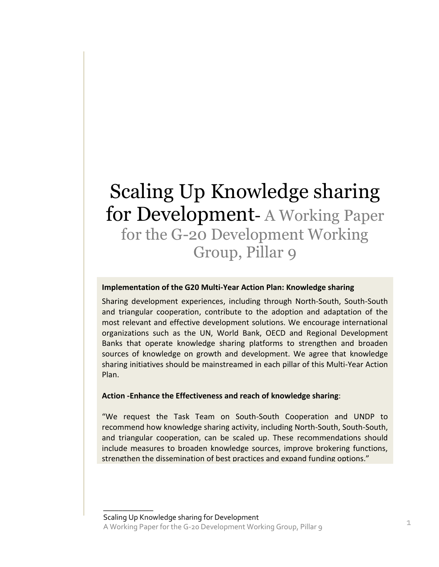# Scaling Up Knowledge sharing for Development- A Working Paper for the G-20 Development Working Group, Pillar 9

### **Implementation of the G20 Multi-Year Action Plan: Knowledge sharing**

Sharing development experiences, including through North-South, South-South and triangular cooperation, contribute to the adoption and adaptation of the most relevant and effective development solutions. We encourage international organizations such as the UN, World Bank, OECD and Regional Development Banks that operate knowledge sharing platforms to strengthen and broaden sources of knowledge on growth and development. We agree that knowledge sharing initiatives should be mainstreamed in each pillar of this Multi-Year Action Plan.

#### **Action -Enhance the Effectiveness and reach of knowledge sharing**:

"We request the Task Team on South-South Cooperation and UNDP to recommend how knowledge sharing activity, including North-South, South-South, and triangular cooperation, can be scaled up. These recommendations should include measures to broaden knowledge sources, improve brokering functions, strengthen the dissemination of best practices and expand funding options."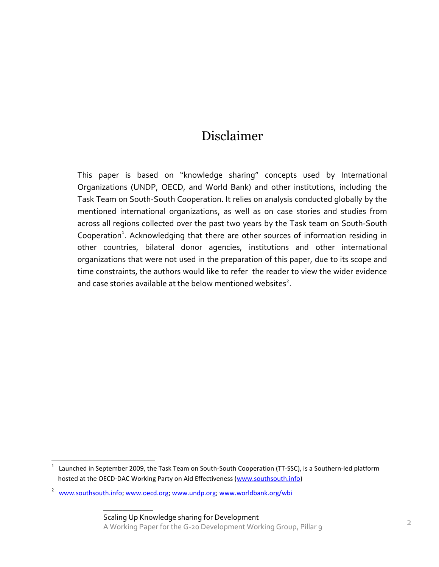### Disclaimer

This paper is based on "knowledge sharing" concepts used by International Organizations (UNDP, OECD, and World Bank) and other institutions, including the Task Team on South-South Cooperation. It relies on analysis conducted globally by the mentioned international organizations, as well as on case stories and studies from across all regions collected over the past two years by the Task team on South-South Cooperation<sup>1</sup>. Acknowledging that there are other sources of information residing in other countries, bilateral donor agencies, institutions and other international organizations that were not used in the preparation of this paper, due to its scope and time constraints, the authors would like to refer the reader to view the wider evidence and case stories available at the below mentioned websites<sup>2</sup>.

 $\overline{\phantom{a}}$ 

<sup>1</sup> Launched in September 2009, the Task Team on South-South Cooperation (TT-SSC), is a Southern-led platform hosted at the OECD-DAC Working Party on Aid Effectiveness [\(www.southsouth.info\)](http://www.soutsouth.info/)

<sup>&</sup>lt;sup>2</sup> [www.southsouth.info;](http://www.southsouth.info/) [www.oecd.org;](http://www.oecd.org/) [www.undp.org;](http://www.undp.org/) [www.worldbank.org/wbi](http://www.worldbank.org/wbi)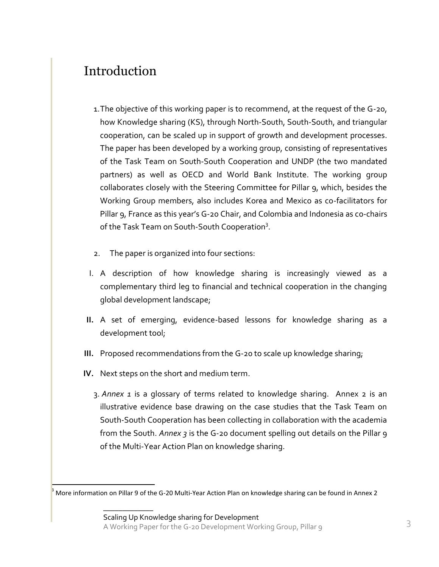## Introduction

- 1.The objective of this working paper is to recommend, at the request of the G-20, how Knowledge sharing (KS), through North-South, South-South, and triangular cooperation, can be scaled up in support of growth and development processes. The paper has been developed by a working group, consisting of representatives of the Task Team on South-South Cooperation and UNDP (the two mandated partners) as well as OECD and World Bank Institute. The working group collaborates closely with the Steering Committee for Pillar 9, which, besides the Working Group members, also includes Korea and Mexico as co-facilitators for Pillar 9, France as this year's G-20 Chair, and Colombia and Indonesia as co-chairs of the Task Team on South-South Cooperation<sup>3</sup>.
- 2. The paper is organized into four sections:
- I. A description of how knowledge sharing is increasingly viewed as a complementary third leg to financial and technical cooperation in the changing global development landscape;
- **II.** A set of emerging, evidence-based lessons for knowledge sharing as a development tool;
- **III.** Proposed recommendations from the G-20 to scale up knowledge sharing;
- **IV.** Next steps on the short and medium term.

 $\overline{\phantom{a}}$  , where  $\overline{\phantom{a}}$ 

ŀ

3. *Annex 1* is a glossary of terms related to knowledge sharing. Annex 2 is an illustrative evidence base drawing on the case studies that the Task Team on South-South Cooperation has been collecting in collaboration with the academia from the South. *Annex 3* is the G-20 document spelling out details on the Pillar 9 of the Multi-Year Action Plan on knowledge sharing.

 $3$  More information on Pillar 9 of the G-20 Multi-Year Action Plan on knowledge sharing can be found in Annex 2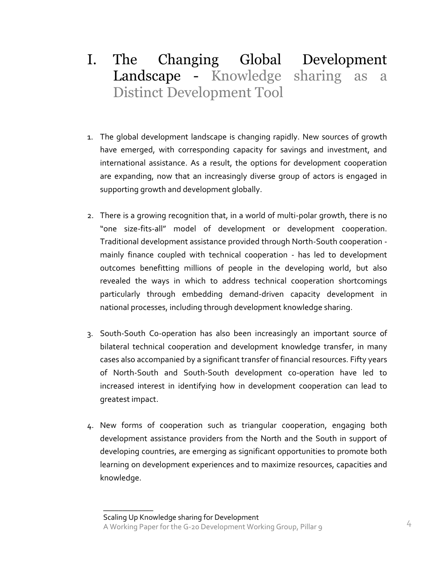- I. The Changing Global Development Landscape - Knowledge sharing as a Distinct Development Tool
- 1. The global development landscape is changing rapidly. New sources of growth have emerged, with corresponding capacity for savings and investment, and international assistance. As a result, the options for development cooperation are expanding, now that an increasingly diverse group of actors is engaged in supporting growth and development globally.
- 2. There is a growing recognition that, in a world of multi-polar growth, there is no "one size-fits-all" model of development or development cooperation. Traditional development assistance provided through North-South cooperation mainly finance coupled with technical cooperation - has led to development outcomes benefitting millions of people in the developing world, but also revealed the ways in which to address technical cooperation shortcomings particularly through embedding demand-driven capacity development in national processes, including through development knowledge sharing.
- 3. South-South Co-operation has also been increasingly an important source of bilateral technical cooperation and development knowledge transfer, in many cases also accompanied by a significant transfer of financial resources. Fifty years of North-South and South-South development co-operation have led to increased interest in identifying how in development cooperation can lead to greatest impact.
- 4. New forms of cooperation such as triangular cooperation, engaging both development assistance providers from the North and the South in support of developing countries, are emerging as significant opportunities to promote both learning on development experiences and to maximize resources, capacities and knowledge.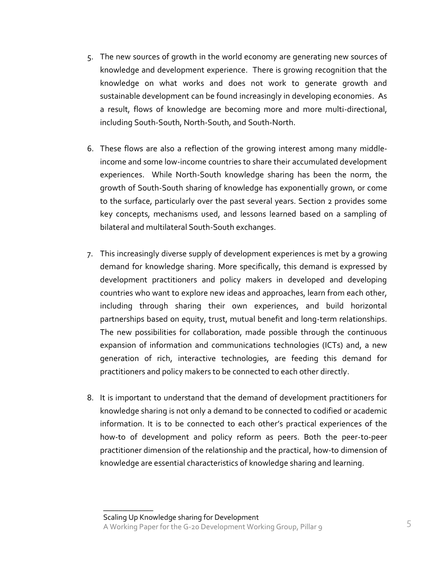- 5. The new sources of growth in the world economy are generating new sources of knowledge and development experience. There is growing recognition that the knowledge on what works and does not work to generate growth and sustainable development can be found increasingly in developing economies. As a result, flows of knowledge are becoming more and more multi-directional, including South-South, North-South, and South-North.
- 6. These flows are also a reflection of the growing interest among many middleincome and some low-income countries to share their accumulated development experiences. While North-South knowledge sharing has been the norm, the growth of South-South sharing of knowledge has exponentially grown, or come to the surface, particularly over the past several years. Section 2 provides some key concepts, mechanisms used, and lessons learned based on a sampling of bilateral and multilateral South-South exchanges.
- 7. This increasingly diverse supply of development experiences is met by a growing demand for knowledge sharing. More specifically, this demand is expressed by development practitioners and policy makers in developed and developing countries who want to explore new ideas and approaches, learn from each other, including through sharing their own experiences, and build horizontal partnerships based on equity, trust, mutual benefit and long-term relationships. The new possibilities for collaboration, made possible through the continuous expansion of information and communications technologies (ICTs) and, a new generation of rich, interactive technologies, are feeding this demand for practitioners and policy makers to be connected to each other directly.
- 8. It is important to understand that the demand of development practitioners for knowledge sharing is not only a demand to be connected to codified or academic information. It is to be connected to each other's practical experiences of the how-to of development and policy reform as peers. Both the peer-to-peer practitioner dimension of the relationship and the practical, how-to dimension of knowledge are essential characteristics of knowledge sharing and learning.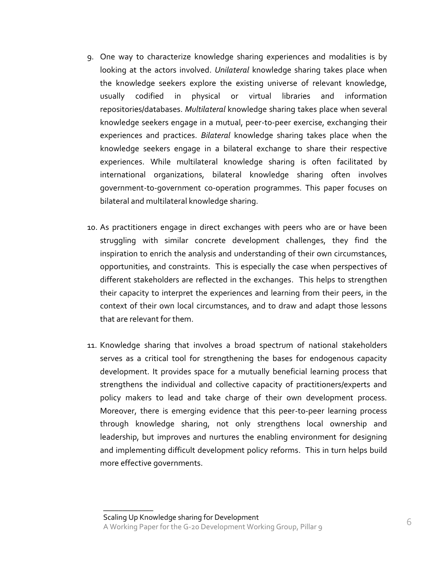- 9. One way to characterize knowledge sharing experiences and modalities is by looking at the actors involved. *Unilateral* knowledge sharing takes place when the knowledge seekers explore the existing universe of relevant knowledge, usually codified in physical or virtual libraries and information repositories/databases. *Multilateral* knowledge sharing takes place when several knowledge seekers engage in a mutual, peer-to-peer exercise, exchanging their experiences and practices. *Bilateral* knowledge sharing takes place when the knowledge seekers engage in a bilateral exchange to share their respective experiences. While multilateral knowledge sharing is often facilitated by international organizations, bilateral knowledge sharing often involves government-to-government co-operation programmes. This paper focuses on bilateral and multilateral knowledge sharing.
- 10. As practitioners engage in direct exchanges with peers who are or have been struggling with similar concrete development challenges, they find the inspiration to enrich the analysis and understanding of their own circumstances, opportunities, and constraints. This is especially the case when perspectives of different stakeholders are reflected in the exchanges. This helps to strengthen their capacity to interpret the experiences and learning from their peers, in the context of their own local circumstances, and to draw and adapt those lessons that are relevant for them.
- 11. Knowledge sharing that involves a broad spectrum of national stakeholders serves as a critical tool for strengthening the bases for endogenous capacity development. It provides space for a mutually beneficial learning process that strengthens the individual and collective capacity of practitioners/experts and policy makers to lead and take charge of their own development process. Moreover, there is emerging evidence that this peer-to-peer learning process through knowledge sharing, not only strengthens local ownership and leadership, but improves and nurtures the enabling environment for designing and implementing difficult development policy reforms. This in turn helps build more effective governments.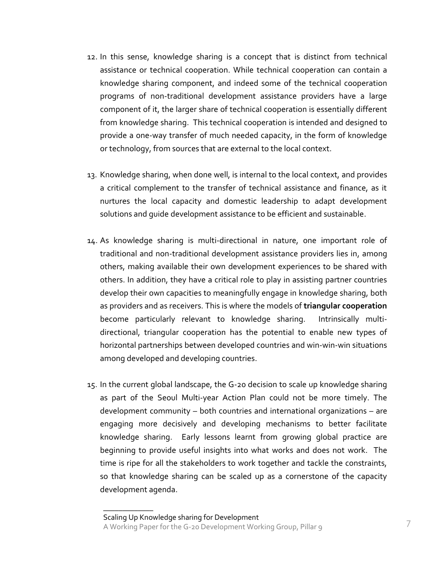- 12. In this sense, knowledge sharing is a concept that is distinct from technical assistance or technical cooperation. While technical cooperation can contain a knowledge sharing component, and indeed some of the technical cooperation programs of non-traditional development assistance providers have a large component of it, the larger share of technical cooperation is essentially different from knowledge sharing. This technical cooperation is intended and designed to provide a one-way transfer of much needed capacity, in the form of knowledge or technology, from sources that are external to the local context.
- 13. Knowledge sharing, when done well, is internal to the local context, and provides a critical complement to the transfer of technical assistance and finance, as it nurtures the local capacity and domestic leadership to adapt development solutions and guide development assistance to be efficient and sustainable.
- 14. As knowledge sharing is multi-directional in nature, one important role of traditional and non-traditional development assistance providers lies in, among others, making available their own development experiences to be shared with others. In addition, they have a critical role to play in assisting partner countries develop their own capacities to meaningfully engage in knowledge sharing, both as providers and as receivers. This is where the models of **triangular cooperation** become particularly relevant to knowledge sharing. Intrinsically multidirectional, triangular cooperation has the potential to enable new types of horizontal partnerships between developed countries and win-win-win situations among developed and developing countries.
- 15. In the current global landscape, the G-20 decision to scale up knowledge sharing as part of the Seoul Multi-year Action Plan could not be more timely. The development community – both countries and international organizations – are engaging more decisively and developing mechanisms to better facilitate knowledge sharing. Early lessons learnt from growing global practice are beginning to provide useful insights into what works and does not work. The time is ripe for all the stakeholders to work together and tackle the constraints, so that knowledge sharing can be scaled up as a cornerstone of the capacity development agenda.

Scaling Up Knowledge sharing for Development A Working Paper for the G-20 Development Working Group, Pillar 9 7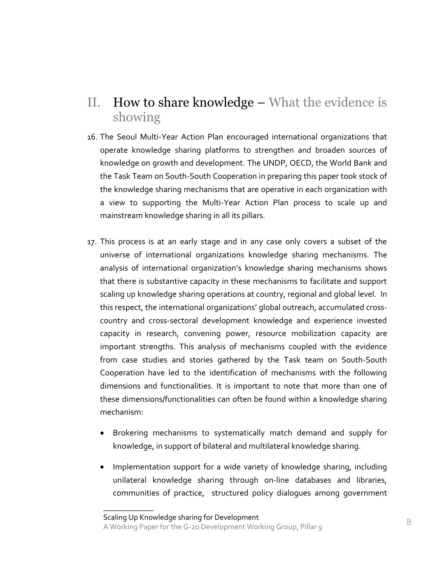### II. How to share knowledge – What the evidence is showing

- 16. The Seoul Multi-Year Action Plan encouraged international organizations that operate knowledge sharing platforms to strengthen and broaden sources of knowledge on growth and development. The UNDP, OECD, the World Bank and the Task Team on South-South Cooperation in preparing this paper took stock of the knowledge sharing mechanisms that are operative in each organization with a view to supporting the Multi-Year Action Plan process to scale up and mainstream knowledge sharing in all its pillars.
- 17. This process is at an early stage and in any case only covers a subset of the universe of international organizations knowledge sharing mechanisms. The analysis of international organization's knowledge sharing mechanisms shows that there is substantive capacity in these mechanisms to facilitate and support scaling up knowledge sharing operations at country, regional and global level. In this respect, the international organizations' global outreach, accumulated crosscountry and cross-sectoral development knowledge and experience invested capacity in research, convening power, resource mobilization capacity are important strengths. This analysis of mechanisms coupled with the evidence from case studies and stories gathered by the Task team on South-South Cooperation have led to the identification of mechanisms with the following dimensions and functionalities. It is important to note that more than one of these dimensions/functionalities can often be found within a knowledge sharing mechanism:
	- Brokering mechanisms to systematically match demand and supply for knowledge, in support of bilateral and multilateral knowledge sharing.
	- Implementation support for a wide variety of knowledge sharing, including unilateral knowledge sharing through on-line databases and libraries, communities of practice, structured policy dialogues among government

Scaling Up Knowledge sharing for Development A Working Paper for the G-20 Development Working Group, Pillar 9 8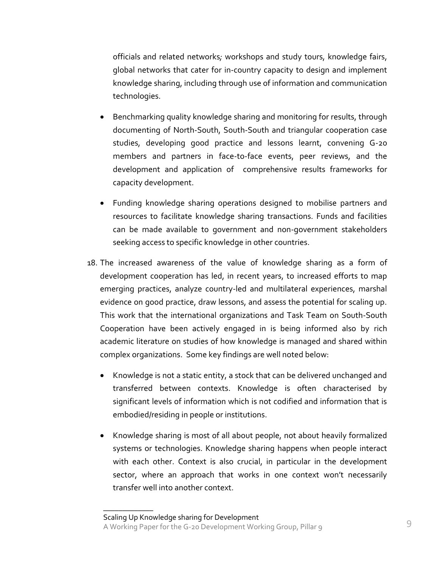officials and related networks*;* workshops and study tours, knowledge fairs, global networks that cater for in-country capacity to design and implement knowledge sharing, including through use of information and communication technologies.

- Benchmarking quality knowledge sharing and monitoring for results, through documenting of North-South, South-South and triangular cooperation case studies, developing good practice and lessons learnt, convening G-20 members and partners in face-to-face events, peer reviews, and the development and application of comprehensive results frameworks for capacity development.
- Funding knowledge sharing operations designed to mobilise partners and resources to facilitate knowledge sharing transactions. Funds and facilities can be made available to government and non-government stakeholders seeking access to specific knowledge in other countries.
- 18. The increased awareness of the value of knowledge sharing as a form of development cooperation has led, in recent years, to increased efforts to map emerging practices, analyze country-led and multilateral experiences, marshal evidence on good practice, draw lessons, and assess the potential for scaling up. This work that the international organizations and Task Team on South-South Cooperation have been actively engaged in is being informed also by rich academic literature on studies of how knowledge is managed and shared within complex organizations. Some key findings are well noted below:
	- Knowledge is not a static entity, a stock that can be delivered unchanged and transferred between contexts. Knowledge is often characterised by significant levels of information which is not codified and information that is embodied/residing in people or institutions.
	- Knowledge sharing is most of all about people, not about heavily formalized systems or technologies. Knowledge sharing happens when people interact with each other. Context is also crucial, in particular in the development sector, where an approach that works in one context won't necessarily transfer well into another context.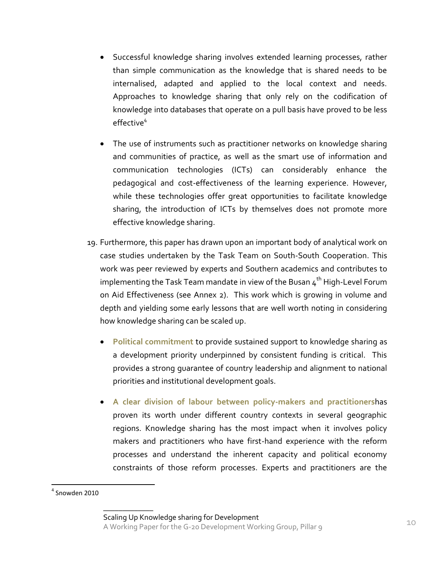- Successful knowledge sharing involves extended learning processes, rather than simple communication as the knowledge that is shared needs to be internalised, adapted and applied to the local context and needs. Approaches to knowledge sharing that only rely on the codification of knowledge into databases that operate on a pull basis have proved to be less effective<sup>4</sup>
- The use of instruments such as practitioner networks on knowledge sharing and communities of practice, as well as the smart use of information and communication technologies (ICTs) can considerably enhance the pedagogical and cost-effectiveness of the learning experience. However, while these technologies offer great opportunities to facilitate knowledge sharing, the introduction of ICTs by themselves does not promote more effective knowledge sharing.
- 19. Furthermore, this paper has drawn upon an important body of analytical work on case studies undertaken by the Task Team on South-South Cooperation. This work was peer reviewed by experts and Southern academics and contributes to implementing the Task Team mandate in view of the Busan  $4<sup>th</sup>$  High-Level Forum on Aid Effectiveness (see Annex 2). This work which is growing in volume and depth and yielding some early lessons that are well worth noting in considering how knowledge sharing can be scaled up.
	- **Political commitment** to provide sustained support to knowledge sharing as a development priority underpinned by consistent funding is critical. This provides a strong guarantee of country leadership and alignment to national priorities and institutional development goals.
	- **A clear division of labour between policy-makers and practitioners**has proven its worth under different country contexts in several geographic regions. Knowledge sharing has the most impact when it involves policy makers and practitioners who have first-hand experience with the reform processes and understand the inherent capacity and political economy constraints of those reform processes. Experts and practitioners are the

 $\overline{\phantom{a}}$ 

 $<sup>4</sup>$  Snowden 2010</sup>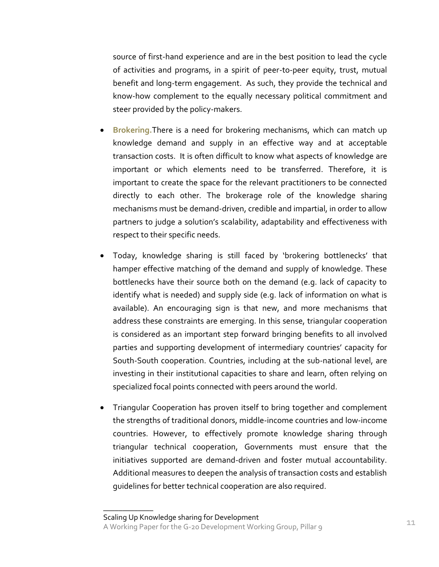source of first-hand experience and are in the best position to lead the cycle of activities and programs, in a spirit of peer-to-peer equity, trust, mutual benefit and long-term engagement. As such, they provide the technical and know-how complement to the equally necessary political commitment and steer provided by the policy-makers.

- **Brokering.**There is a need for brokering mechanisms, which can match up knowledge demand and supply in an effective way and at acceptable transaction costs. It is often difficult to know what aspects of knowledge are important or which elements need to be transferred. Therefore, it is important to create the space for the relevant practitioners to be connected directly to each other. The brokerage role of the knowledge sharing mechanisms must be demand‐driven, credible and impartial, in order to allow partners to judge a solution's scalability, adaptability and effectiveness with respect to their specific needs.
- Today, knowledge sharing is still faced by 'brokering bottlenecks' that hamper effective matching of the demand and supply of knowledge. These bottlenecks have their source both on the demand (e.g. lack of capacity to identify what is needed) and supply side (e.g. lack of information on what is available). An encouraging sign is that new, and more mechanisms that address these constraints are emerging. In this sense, triangular cooperation is considered as an important step forward bringing benefits to all involved parties and supporting development of intermediary countries' capacity for South-South cooperation. Countries, including at the sub-national level, are investing in their institutional capacities to share and learn, often relying on specialized focal points connected with peers around the world.
- Triangular Cooperation has proven itself to bring together and complement the strengths of traditional donors, middle-income countries and low-income countries. However, to effectively promote knowledge sharing through triangular technical cooperation, Governments must ensure that the initiatives supported are demand-driven and foster mutual accountability. Additional measures to deepen the analysis of transaction costs and establish guidelines for better technical cooperation are also required.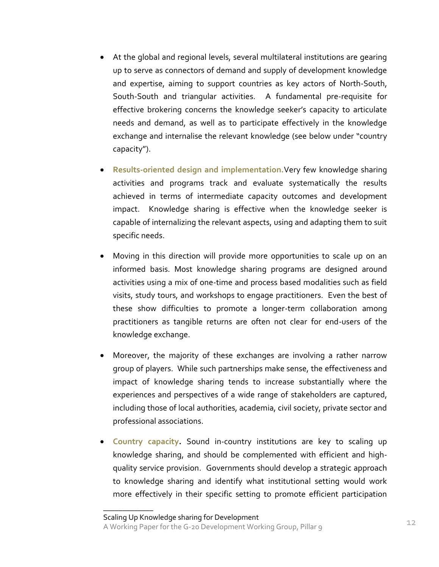- At the global and regional levels, several multilateral institutions are gearing up to serve as connectors of demand and supply of development knowledge and expertise, aiming to support countries as key actors of North-South, South-South and triangular activities. A fundamental pre-requisite for effective brokering concerns the knowledge seeker's capacity to articulate needs and demand, as well as to participate effectively in the knowledge exchange and internalise the relevant knowledge (see below under "country capacity").
- **Results-oriented design and implementation.**Very few knowledge sharing activities and programs track and evaluate systematically the results achieved in terms of intermediate capacity outcomes and development impact. Knowledge sharing is effective when the knowledge seeker is capable of internalizing the relevant aspects, using and adapting them to suit specific needs.
- Moving in this direction will provide more opportunities to scale up on an informed basis. Most knowledge sharing programs are designed around activities using a mix of one-time and process based modalities such as field visits, study tours, and workshops to engage practitioners. Even the best of these show difficulties to promote a longer-term collaboration among practitioners as tangible returns are often not clear for end-users of the knowledge exchange.
- Moreover, the majority of these exchanges are involving a rather narrow group of players. While such partnerships make sense, the effectiveness and impact of knowledge sharing tends to increase substantially where the experiences and perspectives of a wide range of stakeholders are captured, including those of local authorities, academia, civil society, private sector and professional associations.
- **Country capacity.** Sound in-country institutions are key to scaling up knowledge sharing, and should be complemented with efficient and highquality service provision. Governments should develop a strategic approach to knowledge sharing and identify what institutional setting would work more effectively in their specific setting to promote efficient participation

Scaling Up Knowledge sharing for Development

A Working Paper for the G-20 Development Working Group, Pillar 9 12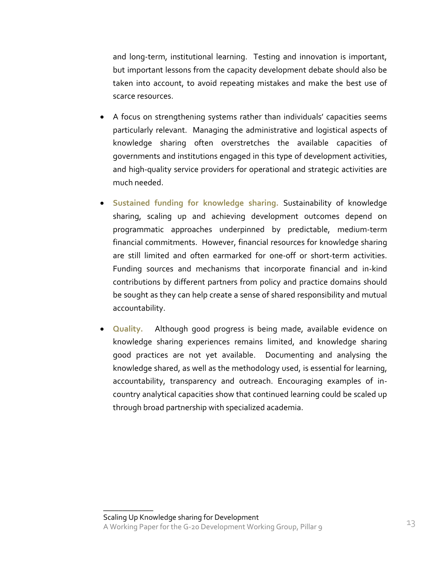and long-term, institutional learning. Testing and innovation is important, but important lessons from the capacity development debate should also be taken into account, to avoid repeating mistakes and make the best use of scarce resources.

- A focus on strengthening systems rather than individuals' capacities seems particularly relevant. Managing the administrative and logistical aspects of knowledge sharing often overstretches the available capacities of governments and institutions engaged in this type of development activities, and high-quality service providers for operational and strategic activities are much needed.
- **Sustained funding for knowledge sharing.** Sustainability of knowledge sharing, scaling up and achieving development outcomes depend on programmatic approaches underpinned by predictable, medium-term financial commitments. However, financial resources for knowledge sharing are still limited and often earmarked for one-off or short-term activities. Funding sources and mechanisms that incorporate financial and in-kind contributions by different partners from policy and practice domains should be sought as they can help create a sense of shared responsibility and mutual accountability.
- **Quality.** Although good progress is being made, available evidence on knowledge sharing experiences remains limited, and knowledge sharing good practices are not yet available. Documenting and analysing the knowledge shared, as well as the methodology used, is essential for learning, accountability, transparency and outreach. Encouraging examples of incountry analytical capacities show that continued learning could be scaled up through broad partnership with specialized academia.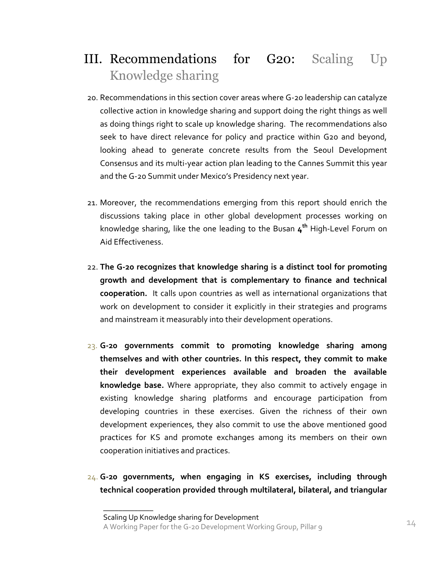## III. Recommendations for G20: Scaling Up Knowledge sharing

- 20. Recommendations in this section cover areas where G-20 leadership can catalyze collective action in knowledge sharing and support doing the right things as well as doing things right to scale up knowledge sharing. The recommendations also seek to have direct relevance for policy and practice within G20 and beyond, looking ahead to generate concrete results from the Seoul Development Consensus and its multi-year action plan leading to the Cannes Summit this year and the G-20 Summit under Mexico's Presidency next year.
- 21. Moreover, the recommendations emerging from this report should enrich the discussions taking place in other global development processes working on knowledge sharing, like the one leading to the Busan **4 th** High-Level Forum on Aid Effectiveness.
- 22. **The G-20 recognizes that knowledge sharing is a distinct tool for promoting growth and development that is complementary to finance and technical cooperation.** It calls upon countries as well as international organizations that work on development to consider it explicitly in their strategies and programs and mainstream it measurably into their development operations.
- 23. **G-20 governments commit to promoting knowledge sharing among themselves and with other countries. In this respect, they commit to make their development experiences available and broaden the available knowledge base.** Where appropriate, they also commit to actively engage in existing knowledge sharing platforms and encourage participation from developing countries in these exercises. Given the richness of their own development experiences, they also commit to use the above mentioned good practices for KS and promote exchanges among its members on their own cooperation initiatives and practices.
- 24. **G-20 governments, when engaging in KS exercises, including through technical cooperation provided through multilateral, bilateral, and triangular**

Scaling Up Knowledge sharing for Development and the Minimal Paper for the G-20 Development Working Group, Pillar 9 14 14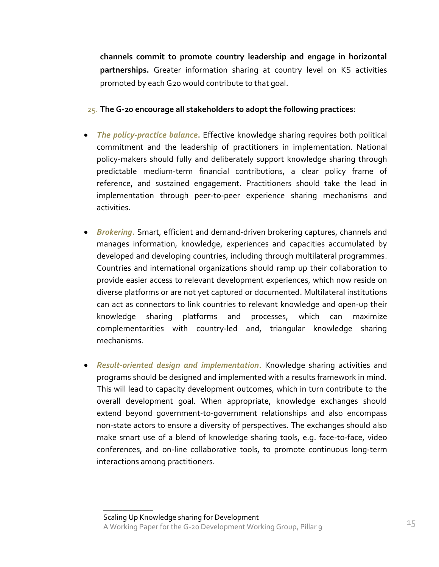**channels commit to promote country leadership and engage in horizontal partnerships.** Greater information sharing at country level on KS activities promoted by each G20 would contribute to that goal.

- 25. **The G-20 encourage all stakeholders to adopt the following practices**:
- *The policy-practice balance***.** Effective knowledge sharing requires both political commitment and the leadership of practitioners in implementation. National policy-makers should fully and deliberately support knowledge sharing through predictable medium-term financial contributions, a clear policy frame of reference, and sustained engagement. Practitioners should take the lead in implementation through peer-to-peer experience sharing mechanisms and activities.
- *Brokering.* Smart, efficient and demand-driven brokering captures, channels and manages information, knowledge, experiences and capacities accumulated by developed and developing countries, including through multilateral programmes. Countries and international organizations should ramp up their collaboration to provide easier access to relevant development experiences, which now reside on diverse platforms or are not yet captured or documented. Multilateral institutions can act as connectors to link countries to relevant knowledge and open-up their knowledge sharing platforms and processes, which can maximize complementarities with country-led and, triangular knowledge sharing mechanisms.
- *Result-oriented design and implementation***.** Knowledge sharing activities and programs should be designed and implemented with a results framework in mind. This will lead to capacity development outcomes, which in turn contribute to the overall development goal. When appropriate, knowledge exchanges should extend beyond government-to-government relationships and also encompass non-state actors to ensure a diversity of perspectives. The exchanges should also make smart use of a blend of knowledge sharing tools, e.g. face-to-face, video conferences, and on-line collaborative tools, to promote continuous long-term interactions among practitioners.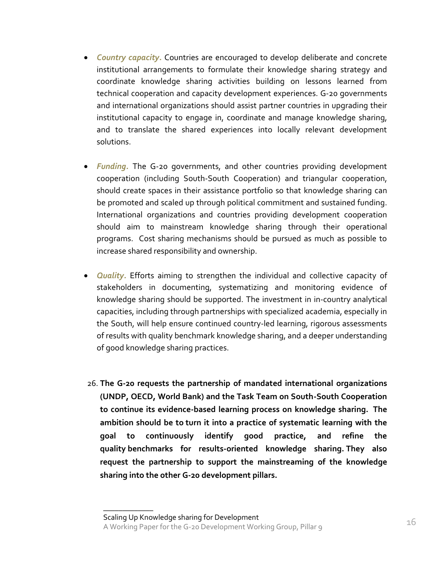- *Country capacity***.** Countries are encouraged to develop deliberate and concrete institutional arrangements to formulate their knowledge sharing strategy and coordinate knowledge sharing activities building on lessons learned from technical cooperation and capacity development experiences. G-20 governments and international organizations should assist partner countries in upgrading their institutional capacity to engage in, coordinate and manage knowledge sharing, and to translate the shared experiences into locally relevant development solutions.
- *Funding.* The G-20 governments, and other countries providing development cooperation (including South-South Cooperation) and triangular cooperation, should create spaces in their assistance portfolio so that knowledge sharing can be promoted and scaled up through political commitment and sustained funding. International organizations and countries providing development cooperation should aim to mainstream knowledge sharing through their operational programs. Cost sharing mechanisms should be pursued as much as possible to increase shared responsibility and ownership.
- *Quality*. Efforts aiming to strengthen the individual and collective capacity of stakeholders in documenting, systematizing and monitoring evidence of knowledge sharing should be supported. The investment in in-country analytical capacities, including through partnerships with specialized academia, especially in the South, will help ensure continued country-led learning, rigorous assessments of results with quality benchmark knowledge sharing, and a deeper understanding of good knowledge sharing practices.
- 26. **The G-20 requests the partnership of mandated international organizations (UNDP, OECD, World Bank) and the Task Team on South-South Cooperation to continue its evidence-based learning process on knowledge sharing. The ambition should be to turn it into a practice of systematic learning with the goal to continuously identify good practice, and refine the quality benchmarks for results-oriented knowledge sharing. They also request the partnership to support the mainstreaming of the knowledge sharing into the other G-20 development pillars.**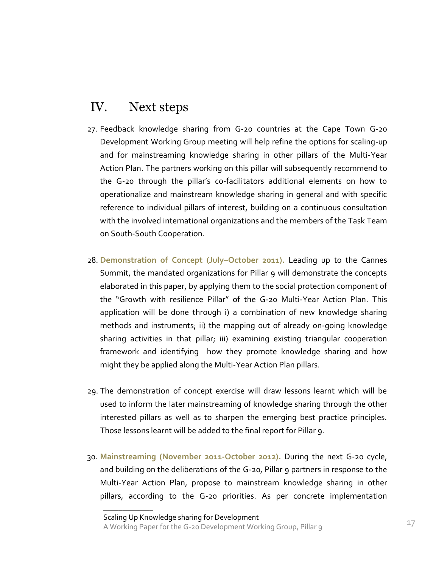### IV. Next steps

- 27. Feedback knowledge sharing from G-20 countries at the Cape Town G-20 Development Working Group meeting will help refine the options for scaling-up and for mainstreaming knowledge sharing in other pillars of the Multi-Year Action Plan. The partners working on this pillar will subsequently recommend to the G-20 through the pillar's co-facilitators additional elements on how to operationalize and mainstream knowledge sharing in general and with specific reference to individual pillars of interest, building on a continuous consultation with the involved international organizations and the members of the Task Team on South-South Cooperation.
- 28. **Demonstration of Concept (July–October 2011).** Leading up to the Cannes Summit, the mandated organizations for Pillar 9 will demonstrate the concepts elaborated in this paper, by applying them to the social protection component of the "Growth with resilience Pillar" of the G-20 Multi-Year Action Plan. This application will be done through i) a combination of new knowledge sharing methods and instruments; ii) the mapping out of already on-going knowledge sharing activities in that pillar; iii) examining existing triangular cooperation framework and identifying how they promote knowledge sharing and how might they be applied along the Multi-Year Action Plan pillars.
- 29. The demonstration of concept exercise will draw lessons learnt which will be used to inform the later mainstreaming of knowledge sharing through the other interested pillars as well as to sharpen the emerging best practice principles. Those lessons learnt will be added to the final report for Pillar 9.
- 30. **Mainstreaming (November 2011-October 2012).** During the next G-20 cycle, and building on the deliberations of the G-20, Pillar 9 partners in response to the Multi-Year Action Plan, propose to mainstream knowledge sharing in other pillars, according to the G-20 priorities. As per concrete implementation

Scaling Up Knowledge sharing for Development A Working Paper for the G-20 Development Working Group, Pillar 9 17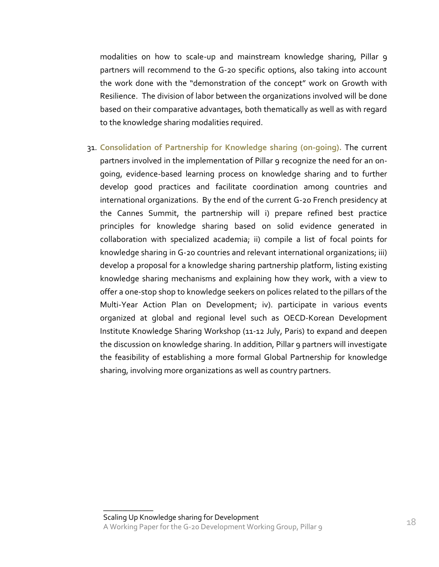modalities on how to scale-up and mainstream knowledge sharing, Pillar 9 partners will recommend to the G-20 specific options, also taking into account the work done with the "demonstration of the concept" work on Growth with Resilience. The division of labor between the organizations involved will be done based on their comparative advantages, both thematically as well as with regard to the knowledge sharing modalities required.

31. **Consolidation of Partnership for Knowledge sharing (on-going).** The current partners involved in the implementation of Pillar 9 recognize the need for an ongoing, evidence-based learning process on knowledge sharing and to further develop good practices and facilitate coordination among countries and international organizations. By the end of the current G-20 French presidency at the Cannes Summit, the partnership will i) prepare refined best practice principles for knowledge sharing based on solid evidence generated in collaboration with specialized academia; ii) compile a list of focal points for knowledge sharing in G-20 countries and relevant international organizations; iii) develop a proposal for a knowledge sharing partnership platform, listing existing knowledge sharing mechanisms and explaining how they work, with a view to offer a one-stop shop to knowledge seekers on polices related to the pillars of the Multi-Year Action Plan on Development; iv). participate in various events organized at global and regional level such as OECD-Korean Development Institute Knowledge Sharing Workshop (11-12 July, Paris) to expand and deepen the discussion on knowledge sharing. In addition, Pillar 9 partners will investigate the feasibility of establishing a more formal Global Partnership for knowledge sharing, involving more organizations as well as country partners.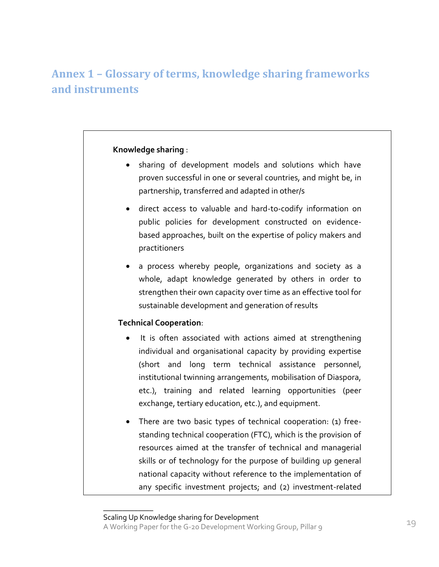### **Annex 1 – Glossary of terms, knowledge sharing frameworks and instruments**

### **Knowledge sharing** :

- sharing of development models and solutions which have proven successful in one or several countries, and might be, in partnership, transferred and adapted in other/s
- direct access to valuable and hard-to-codify information on public policies for development constructed on evidencebased approaches, built on the expertise of policy makers and practitioners
- a process whereby people, organizations and society as a whole, adapt knowledge generated by others in order to strengthen their own capacity over time as an effective tool for sustainable development and generation of results

### **Technical Cooperation**:

- It is often associated with actions aimed at strengthening individual and organisational capacity by providing expertise (short and long term technical assistance personnel, institutional twinning arrangements, mobilisation of Diaspora, etc.), training and related learning opportunities (peer exchange, tertiary education, etc.), and equipment.
- There are two basic types of technical cooperation: (1) freestanding technical cooperation (FTC), which is the provision of resources aimed at the transfer of technical and managerial skills or of technology for the purpose of building up general national capacity without reference to the implementation of any specific investment projects; and (2) investment-related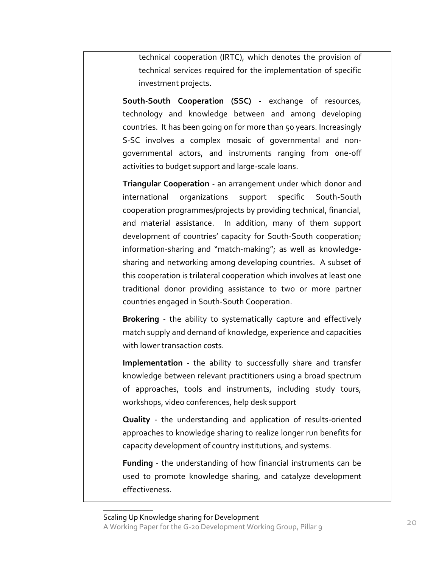technical cooperation (IRTC), which denotes the provision of technical services required for the implementation of specific investment projects.

**South-South Cooperation (SSC) -** exchange of resources, technology and knowledge between and among developing countries. It has been going on for more than 50 years. Increasingly S-SC involves a complex mosaic of governmental and nongovernmental actors, and instruments ranging from one-off activities to budget support and large-scale loans.

**Triangular Cooperation -** an arrangement under which donor and international organizations support specific South-South cooperation programmes/projects by providing technical, financial, and material assistance. In addition, many of them support development of countries' capacity for South-South cooperation; information-sharing and "match-making"; as well as knowledgesharing and networking among developing countries. A subset of this cooperation is trilateral cooperation which involves at least one traditional donor providing assistance to two or more partner countries engaged in South-South Cooperation.

**Brokering** - the ability to systematically capture and effectively match supply and demand of knowledge, experience and capacities with lower transaction costs.

**Implementation** - the ability to successfully share and transfer knowledge between relevant practitioners using a broad spectrum of approaches, tools and instruments, including study tours, workshops, video conferences, help desk support

**Quality** - the understanding and application of results-oriented approaches to knowledge sharing to realize longer run benefits for capacity development of country institutions, and systems.

**Funding** - the understanding of how financial instruments can be used to promote knowledge sharing, and catalyze development effectiveness.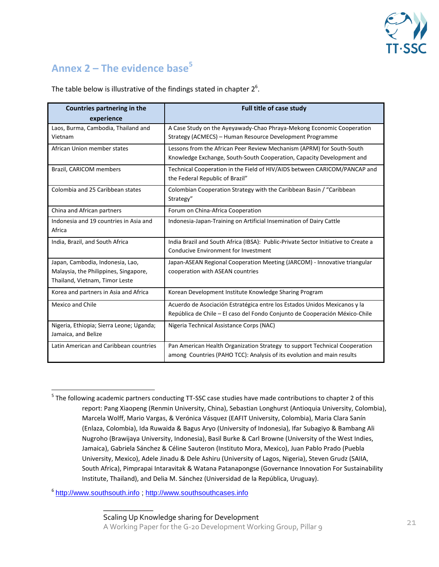

### **Annex 2 – The evidence base<sup>5</sup>**

The table below is illustrative of the findings stated in chapter  $2^6$ .

| Countries partnering in the<br>experience                                                                   | <b>Full title of case study</b>                                                                                                                          |
|-------------------------------------------------------------------------------------------------------------|----------------------------------------------------------------------------------------------------------------------------------------------------------|
| Laos, Burma, Cambodia, Thailand and<br>Vietnam                                                              | A Case Study on the Ayeyawady-Chao Phraya-Mekong Economic Cooperation<br>Strategy (ACMECS) – Human Resource Development Programme                        |
| African Union member states                                                                                 | Lessons from the African Peer Review Mechanism (APRM) for South-South<br>Knowledge Exchange, South-South Cooperation, Capacity Development and           |
| Brazil, CARICOM members                                                                                     | Technical Cooperation in the Field of HIV/AIDS between CARICOM/PANCAP and<br>the Federal Republic of Brazil"                                             |
| Colombia and 25 Caribbean states                                                                            | Colombian Cooperation Strategy with the Caribbean Basin / "Caribbean<br>Strategy"                                                                        |
| China and African partners                                                                                  | Forum on China-Africa Cooperation                                                                                                                        |
| Indonesia and 19 countries in Asia and<br>Africa                                                            | Indonesia-Japan-Training on Artificial Insemination of Dairy Cattle                                                                                      |
| India, Brazil, and South Africa                                                                             | India Brazil and South Africa (IBSA): Public-Private Sector Initiative to Create a<br>Conducive Environment for Investment                               |
| Japan, Cambodia, Indonesia, Lao,<br>Malaysia, the Philippines, Singapore,<br>Thailand, Vietnam, Timor Leste | Japan-ASEAN Regional Cooperation Meeting (JARCOM) - Innovative triangular<br>cooperation with ASEAN countries                                            |
| Korea and partners in Asia and Africa                                                                       | Korean Development Institute Knowledge Sharing Program                                                                                                   |
| Mexico and Chile                                                                                            | Acuerdo de Asociación Estratégica entre los Estados Unidos Mexicanos y la<br>República de Chile – El caso del Fondo Conjunto de Cooperación México-Chile |
| Nigeria, Ethiopia; Sierra Leone; Uganda;<br>Jamaica, and Belize                                             | Nigeria Technical Assistance Corps (NAC)                                                                                                                 |
| Latin American and Caribbean countries                                                                      | Pan American Health Organization Strategy to support Technical Cooperation<br>among Countries (PAHO TCC): Analysis of its evolution and main results     |

<sup>5</sup> The following academic partners conducting TT-SSC case studies have made contributions to chapter 2 of this report: Pang Xiaopeng (Renmin University, China), Sebastian Longhurst (Antioquia University, Colombia), Marcela Wolff, Mario Vargas, & Verónica Vásquez (EAFIT University, Colombia), Maria Clara Sanín (Enlaza, Colombia), Ida Ruwaida & Bagus Aryo (University of Indonesia), Ifar Subagiyo & Bambang Ali Nugroho (Brawijaya University, Indonesia), Basil Burke & Carl Browne (University of the West Indies, Jamaica), Gabriela Sánchez & Céline Sauteron (Instituto Mora, Mexico), Juan Pablo Prado (Puebla University, Mexico), Adele Jinadu & Dele Ashiru (University of Lagos, Nigeria), Steven Grudz (SAIIA, South Africa), Pimprapai Intaravitak & Watana Patanapongse (Governance Innovation For Sustainability Institute, Thailand), and Delia M. Sánchez (Universidad de la República, Uruguay).

<sup>6</sup> [http://www.southsouth.info](http://www.southsouth.info/); [http://www.southsouthcases.info](http://www.southsouthcases.info/)

 $\overline{a}$ 

 $\overline{\phantom{a}}$  , where  $\overline{\phantom{a}}$ Scaling Up Knowledge sharing for Development A Working Paper for the G-20 Development Working Group, Pillar 9 21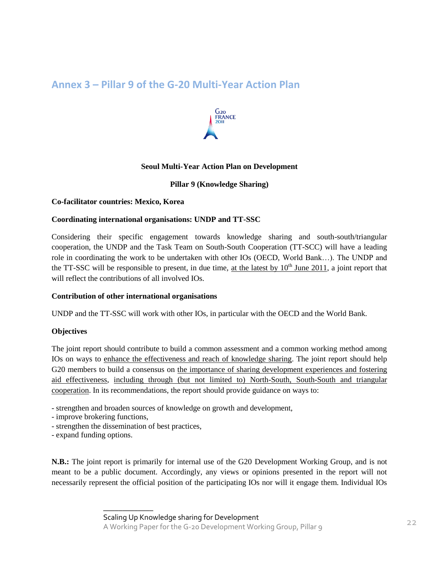### **Annex 3 – Pillar 9 of the G-20 Multi-Year Action Plan**



### **Seoul Multi-Year Action Plan on Development**

#### **Pillar 9 (Knowledge Sharing)**

#### **Co-facilitator countries: Mexico, Korea**

#### **Coordinating international organisations: UNDP and TT-SSC**

Considering their specific engagement towards knowledge sharing and south-south/triangular cooperation, the UNDP and the Task Team on South-South Cooperation (TT-SCC) will have a leading role in coordinating the work to be undertaken with other IOs (OECD, World Bank…). The UNDP and the TT-SSC will be responsible to present, in due time, at the latest by  $10^{th}$  June 2011, a joint report that will reflect the contributions of all involved IOs.

#### **Contribution of other international organisations**

UNDP and the TT-SSC will work with other IOs, in particular with the OECD and the World Bank.

#### **Objectives**

The joint report should contribute to build a common assessment and a common working method among IOs on ways to enhance the effectiveness and reach of knowledge sharing. The joint report should help G20 members to build a consensus on the importance of sharing development experiences and fostering aid effectiveness, including through (but not limited to) North-South, South-South and triangular cooperation. In its recommendations, the report should provide guidance on ways to:

- strengthen and broaden sources of knowledge on growth and development,
- improve brokering functions,
- strengthen the dissemination of best practices,

 $\overline{\phantom{a}}$  , where  $\overline{\phantom{a}}$ 

- expand funding options.

**N.B.:** The joint report is primarily for internal use of the G20 Development Working Group, and is not meant to be a public document. Accordingly, any views or opinions presented in the report will not necessarily represent the official position of the participating IOs nor will it engage them. Individual IOs

Scaling Up Knowledge sharing for Development

A Working Paper for the G-20 Development Working Group, Pillar 9 22